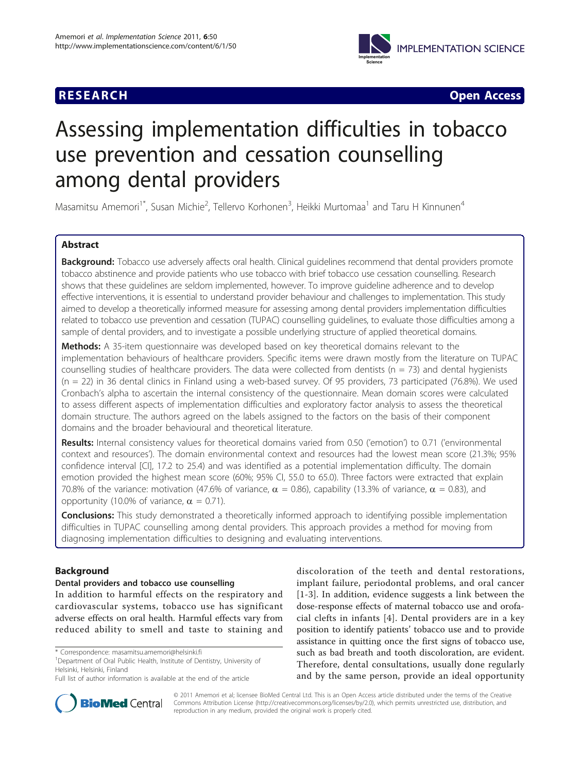## **RESEARCH CHRISTIAN CONSUMING CONTRACT CONSUMING CONSUMING CONSUMING CONSUMING CONSUMING CONSUMING CONSUMING CO**



# Assessing implementation difficulties in tobacco use prevention and cessation counselling among dental providers

Masamitsu Amemori<sup>1\*</sup>, Susan Michie<sup>2</sup>, Tellervo Korhonen<sup>3</sup>, Heikki Murtomaa<sup>1</sup> and Taru H Kinnunen<sup>4</sup>

## Abstract

Background: Tobacco use adversely affects oral health. Clinical quidelines recommend that dental providers promote tobacco abstinence and provide patients who use tobacco with brief tobacco use cessation counselling. Research shows that these guidelines are seldom implemented, however. To improve guideline adherence and to develop effective interventions, it is essential to understand provider behaviour and challenges to implementation. This study aimed to develop a theoretically informed measure for assessing among dental providers implementation difficulties related to tobacco use prevention and cessation (TUPAC) counselling guidelines, to evaluate those difficulties among a sample of dental providers, and to investigate a possible underlying structure of applied theoretical domains.

Methods: A 35-item questionnaire was developed based on key theoretical domains relevant to the implementation behaviours of healthcare providers. Specific items were drawn mostly from the literature on TUPAC counselling studies of healthcare providers. The data were collected from dentists ( $n = 73$ ) and dental hygienists  $(n = 22)$  in 36 dental clinics in Finland using a web-based survey. Of 95 providers, 73 participated (76.8%). We used Cronbach's alpha to ascertain the internal consistency of the questionnaire. Mean domain scores were calculated to assess different aspects of implementation difficulties and exploratory factor analysis to assess the theoretical domain structure. The authors agreed on the labels assigned to the factors on the basis of their component domains and the broader behavioural and theoretical literature.

Results: Internal consistency values for theoretical domains varied from 0.50 ('emotion') to 0.71 ('environmental context and resources'). The domain environmental context and resources had the lowest mean score (21.3%; 95% confidence interval [CI], 17.2 to 25.4) and was identified as a potential implementation difficulty. The domain emotion provided the highest mean score (60%; 95% CI, 55.0 to 65.0). Three factors were extracted that explain 70.8% of the variance: motivation (47.6% of variance,  $\alpha = 0.86$ ), capability (13.3% of variance,  $\alpha = 0.83$ ), and opportunity (10.0% of variance,  $\alpha = 0.71$ ).

**Conclusions:** This study demonstrated a theoretically informed approach to identifying possible implementation difficulties in TUPAC counselling among dental providers. This approach provides a method for moving from diagnosing implementation difficulties to designing and evaluating interventions.

## Background

## Dental providers and tobacco use counselling

In addition to harmful effects on the respiratory and cardiovascular systems, tobacco use has significant adverse effects on oral health. Harmful effects vary from reduced ability to smell and taste to staining and

<sup>1</sup>Department of Oral Public Health, Institute of Dentistry, University of Helsinki, Helsinki, Finland

Full list of author information is available at the end of the article





© 2011 Amemori et al; licensee BioMed Central Ltd. This is an Open Access article distributed under the terms of the Creative Commons Attribution License [\(http://creativecommons.org/licenses/by/2.0](http://creativecommons.org/licenses/by/2.0)), which permits unrestricted use, distribution, and reproduction in any medium, provided the original work is properly cited.

<sup>\*</sup> Correspondence: [masamitsu.amemori@helsinki.fi](mailto:masamitsu.amemori@helsinki.fi)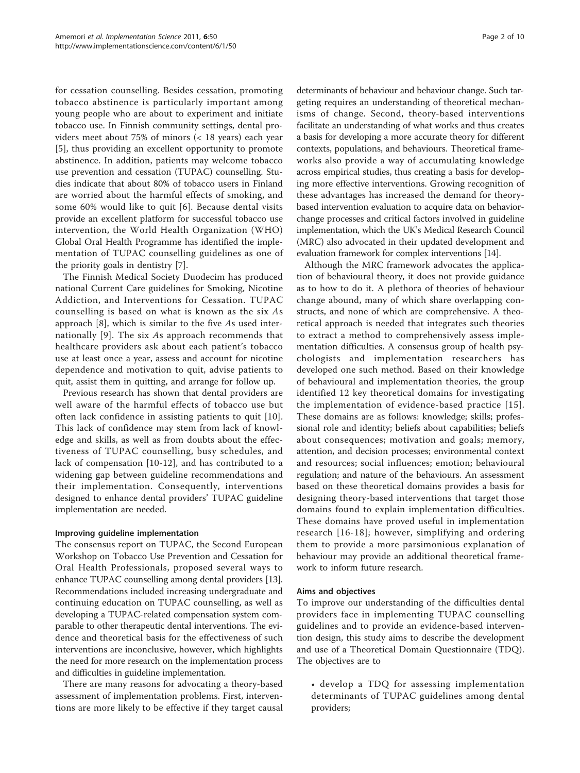for cessation counselling. Besides cessation, promoting tobacco abstinence is particularly important among young people who are about to experiment and initiate tobacco use. In Finnish community settings, dental providers meet about 75% of minors (< 18 years) each year [[5\]](#page-8-0), thus providing an excellent opportunity to promote abstinence. In addition, patients may welcome tobacco use prevention and cessation (TUPAC) counselling. Studies indicate that about 80% of tobacco users in Finland are worried about the harmful effects of smoking, and some 60% would like to quit [[6\]](#page-8-0). Because dental visits provide an excellent platform for successful tobacco use intervention, the World Health Organization (WHO) Global Oral Health Programme has identified the implementation of TUPAC counselling guidelines as one of the priority goals in dentistry [\[7\]](#page-8-0).

The Finnish Medical Society Duodecim has produced national Current Care guidelines for Smoking, Nicotine Addiction, and Interventions for Cessation. TUPAC counselling is based on what is known as the six A<sup>s</sup> approach [[8\]](#page-8-0), which is similar to the five As used internationally [\[9\]](#page-8-0). The six As approach recommends that healthcare providers ask about each patient's tobacco use at least once a year, assess and account for nicotine dependence and motivation to quit, advise patients to quit, assist them in quitting, and arrange for follow up.

Previous research has shown that dental providers are well aware of the harmful effects of tobacco use but often lack confidence in assisting patients to quit [[10](#page-8-0)]. This lack of confidence may stem from lack of knowledge and skills, as well as from doubts about the effectiveness of TUPAC counselling, busy schedules, and lack of compensation [\[10-12](#page-8-0)], and has contributed to a widening gap between guideline recommendations and their implementation. Consequently, interventions designed to enhance dental providers' TUPAC guideline implementation are needed.

## Improving guideline implementation

The consensus report on TUPAC, the Second European Workshop on Tobacco Use Prevention and Cessation for Oral Health Professionals, proposed several ways to enhance TUPAC counselling among dental providers [[13](#page-8-0)]. Recommendations included increasing undergraduate and continuing education on TUPAC counselling, as well as developing a TUPAC-related compensation system comparable to other therapeutic dental interventions. The evidence and theoretical basis for the effectiveness of such interventions are inconclusive, however, which highlights the need for more research on the implementation process and difficulties in guideline implementation.

There are many reasons for advocating a theory-based assessment of implementation problems. First, interventions are more likely to be effective if they target causal

determinants of behaviour and behaviour change. Such targeting requires an understanding of theoretical mechanisms of change. Second, theory-based interventions facilitate an understanding of what works and thus creates a basis for developing a more accurate theory for different contexts, populations, and behaviours. Theoretical frameworks also provide a way of accumulating knowledge across empirical studies, thus creating a basis for developing more effective interventions. Growing recognition of these advantages has increased the demand for theorybased intervention evaluation to acquire data on behaviorchange processes and critical factors involved in guideline implementation, which the UK's Medical Research Council (MRC) also advocated in their updated development and evaluation framework for complex interventions [\[14](#page-8-0)].

Although the MRC framework advocates the application of behavioural theory, it does not provide guidance as to how to do it. A plethora of theories of behaviour change abound, many of which share overlapping constructs, and none of which are comprehensive. A theoretical approach is needed that integrates such theories to extract a method to comprehensively assess implementation difficulties. A consensus group of health psychologists and implementation researchers has developed one such method. Based on their knowledge of behavioural and implementation theories, the group identified 12 key theoretical domains for investigating the implementation of evidence-based practice [[15\]](#page-8-0). These domains are as follows: knowledge; skills; professional role and identity; beliefs about capabilities; beliefs about consequences; motivation and goals; memory, attention, and decision processes; environmental context and resources; social influences; emotion; behavioural regulation; and nature of the behaviours. An assessment based on these theoretical domains provides a basis for designing theory-based interventions that target those domains found to explain implementation difficulties. These domains have proved useful in implementation research [[16-18\]](#page-8-0); however, simplifying and ordering them to provide a more parsimonious explanation of behaviour may provide an additional theoretical framework to inform future research.

## Aims and objectives

To improve our understanding of the difficulties dental providers face in implementing TUPAC counselling guidelines and to provide an evidence-based intervention design, this study aims to describe the development and use of a Theoretical Domain Questionnaire (TDQ). The objectives are to

• develop a TDQ for assessing implementation determinants of TUPAC guidelines among dental providers;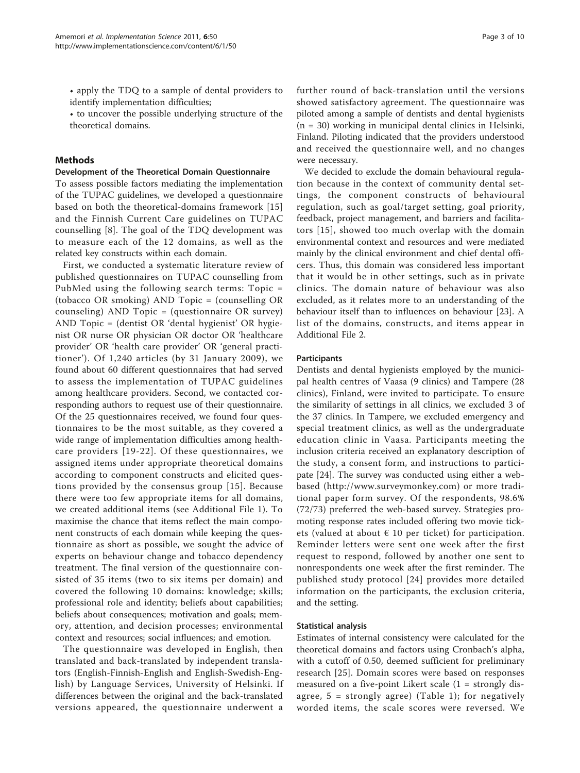• apply the TDQ to a sample of dental providers to identify implementation difficulties;

• to uncover the possible underlying structure of the theoretical domains.

## Methods

#### Development of the Theoretical Domain Questionnaire

To assess possible factors mediating the implementation of the TUPAC guidelines, we developed a questionnaire based on both the theoretical-domains framework [\[15](#page-8-0)] and the Finnish Current Care guidelines on TUPAC counselling [[8\]](#page-8-0). The goal of the TDQ development was to measure each of the 12 domains, as well as the related key constructs within each domain.

First, we conducted a systematic literature review of published questionnaires on TUPAC counselling from PubMed using the following search terms: Topic = (tobacco OR smoking) AND Topic = (counselling OR counseling) AND Topic = (questionnaire OR survey) AND Topic = (dentist OR 'dental hygienist' OR hygienist OR nurse OR physician OR doctor OR 'healthcare provider' OR 'health care provider' OR 'general practitioner'). Of 1,240 articles (by 31 January 2009), we found about 60 different questionnaires that had served to assess the implementation of TUPAC guidelines among healthcare providers. Second, we contacted corresponding authors to request use of their questionnaire. Of the 25 questionnaires received, we found four questionnaires to be the most suitable, as they covered a wide range of implementation difficulties among healthcare providers [[19-22](#page-8-0)]. Of these questionnaires, we assigned items under appropriate theoretical domains according to component constructs and elicited questions provided by the consensus group [[15\]](#page-8-0). Because there were too few appropriate items for all domains, we created additional items (see Additional File [1\)](#page-8-0). To maximise the chance that items reflect the main component constructs of each domain while keeping the questionnaire as short as possible, we sought the advice of experts on behaviour change and tobacco dependency treatment. The final version of the questionnaire consisted of 35 items (two to six items per domain) and covered the following 10 domains: knowledge; skills; professional role and identity; beliefs about capabilities; beliefs about consequences; motivation and goals; memory, attention, and decision processes; environmental context and resources; social influences; and emotion.

The questionnaire was developed in English, then translated and back-translated by independent translators (English-Finnish-English and English-Swedish-English) by Language Services, University of Helsinki. If differences between the original and the back-translated versions appeared, the questionnaire underwent a further round of back-translation until the versions showed satisfactory agreement. The questionnaire was piloted among a sample of dentists and dental hygienists (n = 30) working in municipal dental clinics in Helsinki, Finland. Piloting indicated that the providers understood and received the questionnaire well, and no changes were necessary.

We decided to exclude the domain behavioural regulation because in the context of community dental settings, the component constructs of behavioural regulation, such as goal/target setting, goal priority, feedback, project management, and barriers and facilitators [[15](#page-8-0)], showed too much overlap with the domain environmental context and resources and were mediated mainly by the clinical environment and chief dental officers. Thus, this domain was considered less important that it would be in other settings, such as in private clinics. The domain nature of behaviour was also excluded, as it relates more to an understanding of the behaviour itself than to influences on behaviour [[23\]](#page-8-0). A list of the domains, constructs, and items appear in Additional File [2.](#page-8-0)

## **Participants**

Dentists and dental hygienists employed by the municipal health centres of Vaasa (9 clinics) and Tampere (28 clinics), Finland, were invited to participate. To ensure the similarity of settings in all clinics, we excluded 3 of the 37 clinics. In Tampere, we excluded emergency and special treatment clinics, as well as the undergraduate education clinic in Vaasa. Participants meeting the inclusion criteria received an explanatory description of the study, a consent form, and instructions to participate [\[24](#page-8-0)]. The survey was conducted using either a webbased (<http://www.surveymonkey.com>) or more traditional paper form survey. Of the respondents, 98.6% (72/73) preferred the web-based survey. Strategies promoting response rates included offering two movie tickets (valued at about  $\epsilon$  10 per ticket) for participation. Reminder letters were sent one week after the first request to respond, followed by another one sent to nonrespondents one week after the first reminder. The published study protocol [[24](#page-8-0)] provides more detailed information on the participants, the exclusion criteria, and the setting.

#### Statistical analysis

Estimates of internal consistency were calculated for the theoretical domains and factors using Cronbach's alpha, with a cutoff of 0.50, deemed sufficient for preliminary research [[25\]](#page-8-0). Domain scores were based on responses measured on a five-point Likert scale  $(1 =$  strongly disagree,  $5 =$  strongly agree) (Table [1](#page-3-0)); for negatively worded items, the scale scores were reversed. We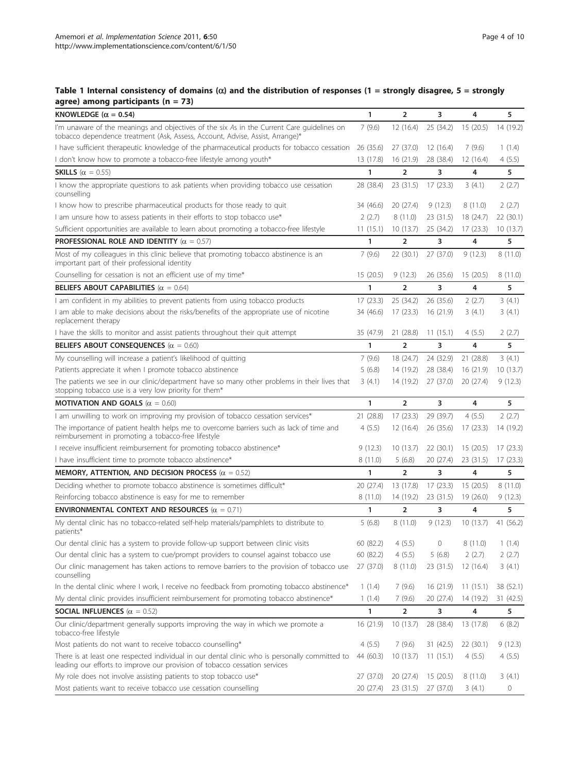## <span id="page-3-0"></span>Table 1 Internal consistency of domains ( $\alpha$ ) and the distribution of responses (1 = strongly disagree, 5 = strongly agree) among participants  $(n = 73)$

| KNOWLEDGE ( $\alpha = 0.54$ )                                                                                                                                                | 1         | $\overline{2}$ | 3         | 4         | 5         |
|------------------------------------------------------------------------------------------------------------------------------------------------------------------------------|-----------|----------------|-----------|-----------|-----------|
| I'm unaware of the meanings and objectives of the six As in the Current Care guidelines on<br>tobacco dependence treatment (Ask, Assess, Account, Advise, Assist, Arrange)*  | 7(9.6)    | 12 (16.4)      | 25 (34.2) | 15(20.5)  | 14 (19.2) |
| I have sufficient therapeutic knowledge of the pharmaceutical products for tobacco cessation                                                                                 | 26 (35.6) | 27 (37.0)      | 12 (16.4) | 7(9.6)    | 1(1.4)    |
| I don't know how to promote a tobacco-free lifestyle among youth*                                                                                                            | 13 (17.8) | 16(21.9)       | 28 (38.4) | 12 (16.4) | 4(5.5)    |
| <b>SKILLS</b> ( $\alpha = 0.55$ )                                                                                                                                            | 1         | $\overline{2}$ | 3         | 4         | 5         |
| I know the appropriate questions to ask patients when providing tobacco use cessation<br>counselling                                                                         | 28 (38.4) | 23 (31.5)      | 17(23.3)  | 3(4.1)    | 2(2.7)    |
| I know how to prescribe pharmaceutical products for those ready to quit                                                                                                      | 34 (46.6) | 20 (27.4)      | 9(12.3)   | 8(11.0)   | 2(2.7)    |
| I am unsure how to assess patients in their efforts to stop tobacco use*                                                                                                     | 2(2.7)    | 8(11.0)        | 23 (31.5) | 18 (24.7) | 22(30.1)  |
| Sufficient opportunities are available to learn about promoting a tobacco-free lifestyle                                                                                     | 11(15.1)  | 10(13.7)       | 25 (34.2) | 17(23.3)  | 10(13.7)  |
| <b>PROFESSIONAL ROLE AND IDENTITY</b> ( $\alpha = 0.57$ )                                                                                                                    | 1         | 2              | 3         | 4         | 5         |
| Most of my colleagues in this clinic believe that promoting tobacco abstinence is an<br>important part of their professional identity                                        | 7(9.6)    | 22 (30.1)      | 27 (37.0) | 9(12.3)   | 8(11.0)   |
| Counselling for cessation is not an efficient use of my time*                                                                                                                | 15(20.5)  | 9(12.3)        | 26 (35.6) | 15(20.5)  | 8(11.0)   |
| <b>BELIEFS ABOUT CAPABILITIES</b> ( $\alpha = 0.64$ )                                                                                                                        | 1         | $\overline{2}$ | 3         | 4         | 5         |
| I am confident in my abilities to prevent patients from using tobacco products                                                                                               | 17(23.3)  | 25 (34.2)      | 26 (35.6) | 2(2.7)    | 3(4.1)    |
| I am able to make decisions about the risks/benefits of the appropriate use of nicotine<br>replacement therapy                                                               | 34 (46.6) | 17(23.3)       | 16(21.9)  | 3(4.1)    | 3(4.1)    |
| I have the skills to monitor and assist patients throughout their quit attempt                                                                                               | 35 (47.9) | 21 (28.8)      | 11(15.1)  | 4(5.5)    | 2(2.7)    |
| <b>BELIEFS ABOUT CONSEQUENCES</b> ( $\alpha = 0.60$ )                                                                                                                        | 1         | 2              | 3         | 4         | 5         |
| My counselling will increase a patient's likelihood of quitting                                                                                                              | 7(9.6)    | 18 (24.7)      | 24 (32.9) | 21 (28.8) | 3(4.1)    |
| Patients appreciate it when I promote tobacco abstinence                                                                                                                     | 5(6.8)    | 14 (19.2)      | 28 (38.4) | 16(21.9)  | 10(13.7)  |
| The patients we see in our clinic/department have so many other problems in their lives that<br>stopping tobacco use is a very low priority for them*                        | 3(4.1)    | 14 (19.2)      | 27 (37.0) | 20(27.4)  | 9(12.3)   |
| <b>MOTIVATION AND GOALS (<math>\alpha = 0.60</math>)</b>                                                                                                                     | 1         | $\overline{2}$ | 3         | 4         | 5         |
| I am unwilling to work on improving my provision of tobacco cessation services*                                                                                              | 21 (28.8) | 17(23.3)       | 29 (39.7) | 4(5.5)    | 2(2.7)    |
| The importance of patient health helps me to overcome barriers such as lack of time and<br>reimbursement in promoting a tobacco-free lifestyle                               | 4(5.5)    | 12(16.4)       | 26 (35.6) | 17(23.3)  | 14 (19.2) |
| I receive insufficient reimbursement for promoting tobacco abstinence*                                                                                                       | 9(12.3)   | 10(13.7)       | 22(30.1)  | 15(20.5)  | 17(23.3)  |
| I have insufficient time to promote tobacco abstinence*                                                                                                                      | 8(11.0)   | 5(6.8)         | 20 (27.4) | 23 (31.5) | 17 (23.3) |
| MEMORY, ATTENTION, AND DECISION PROCESS ( $\alpha = 0.52$ )                                                                                                                  | 1         | 2              | 3         | 4         | 5         |
| Deciding whether to promote tobacco abstinence is sometimes difficult*                                                                                                       | 20 (27.4) | 13 (17.8)      | 17(23.3)  | 15(20.5)  | 8(11.0)   |
| Reinforcing tobacco abstinence is easy for me to remember                                                                                                                    | 8(11.0)   | 14 (19.2)      | 23 (31.5) | 19 (26.0) | 9(12.3)   |
| <b>ENVIRONMENTAL CONTEXT AND RESOURCES</b> ( $\alpha = 0.71$ )                                                                                                               | 1         | 2              | 3         | 4         | 5         |
| My dental clinic has no tobacco-related self-help materials/pamphlets to distribute to<br>patients*                                                                          | 5(6.8)    | 8 (11.0)       | 9(12.3)   | 10(13.7)  | 41 (56.2) |
| Our dental clinic has a system to provide follow-up support between clinic visits                                                                                            | 60 (82.2) | 4(5.5)         | O         | 8 (11.0)  | 1(1.4)    |
| Our dental clinic has a system to cue/prompt providers to counsel against tobacco use                                                                                        | 60 (82.2) | 4(5.5)         | 5(6.8)    | 2(2.7)    | 2(2.7)    |
| Our clinic management has taken actions to remove barriers to the provision of tobacco use<br>counselling                                                                    | 27 (37.0) | 8(11.0)        | 23 (31.5) | 12 (16.4) | 3(4.1)    |
| In the dental clinic where I work, I receive no feedback from promoting tobacco abstinence*                                                                                  | 1(1.4)    | 7(9.6)         | 16(21.9)  | 11(15.1)  | 38 (52.1) |
| My dental clinic provides insufficient reimbursement for promoting tobacco abstinence*                                                                                       | 1(1.4)    | 7(9.6)         | 20 (27.4) | 14 (19.2) | 31 (42.5) |
| <b>SOCIAL INFLUENCES</b> ( $\alpha = 0.52$ )                                                                                                                                 | 1         | 2              | 3         | 4         | 5         |
| Our clinic/department generally supports improving the way in which we promote a<br>tobacco-free lifestyle                                                                   | 16 (21.9) | 10(13.7)       | 28 (38.4) | 13 (17.8) | 6(8.2)    |
| Most patients do not want to receive tobacco counselling*                                                                                                                    | 4(5.5)    | 7(9.6)         | 31 (42.5) | 22 (30.1) | 9(12.3)   |
| There is at least one respected individual in our dental clinic who is personally committed to<br>leading our efforts to improve our provision of tobacco cessation services | 44 (60.3) | 10 (13.7)      | 11(15.1)  | 4(5.5)    | 4(5.5)    |
| My role does not involve assisting patients to stop tobacco use*                                                                                                             | 27 (37.0) | 20 (27.4)      | 15(20.5)  | 8(11.0)   | 3(4.1)    |
| Most patients want to receive tobacco use cessation counselling                                                                                                              | 20 (27.4) | 23 (31.5)      | 27 (37.0) | 3(4.1)    | 0         |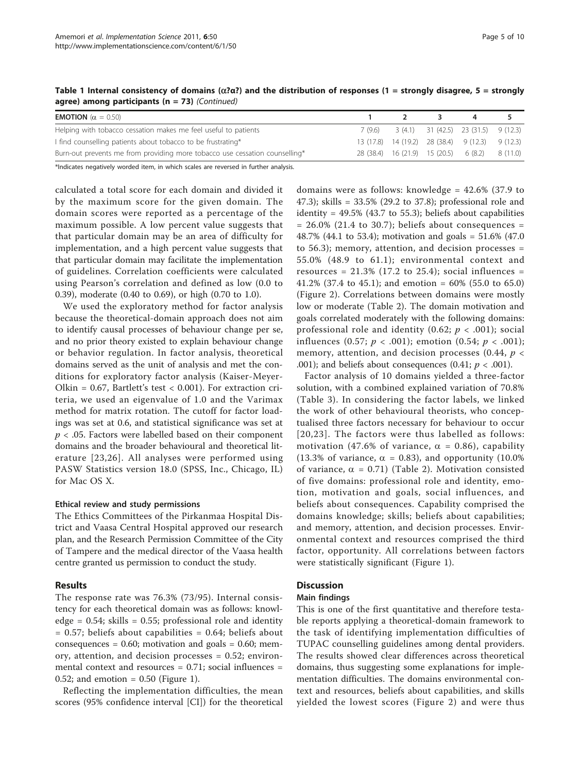| <b>EMOTION</b> ( $\alpha = 0.50$ )                                          |  |                                                 |  |
|-----------------------------------------------------------------------------|--|-------------------------------------------------|--|
| Helping with tobacco cessation makes me feel useful to patients             |  | 7 (9.6) 3 (4.1) 31 (42.5) 23 (31.5) 9 (12.3)    |  |
| I find counselling patients about tobacco to be frustrating*                |  | 13 (17.8) 14 (19.2) 28 (38.4) 9 (12.3) 9 (12.3) |  |
| Burn-out prevents me from providing more tobacco use cessation counselling* |  | 28 (38.4) 16 (21.9) 15 (20.5) 6 (8.2) 8 (11.0)  |  |

Table 1 Internal consistency of domains ( $\alpha$ ? $\alpha$ ?) and the distribution of responses (1 = strongly disagree, 5 = strongly agree) among participants ( $n = 73$ ) (Continued)

\*Indicates negatively worded item, in which scales are reversed in further analysis.

calculated a total score for each domain and divided it by the maximum score for the given domain. The domain scores were reported as a percentage of the maximum possible. A low percent value suggests that that particular domain may be an area of difficulty for implementation, and a high percent value suggests that that particular domain may facilitate the implementation of guidelines. Correlation coefficients were calculated using Pearson's correlation and defined as low (0.0 to 0.39), moderate (0.40 to 0.69), or high (0.70 to 1.0).

We used the exploratory method for factor analysis because the theoretical-domain approach does not aim to identify causal processes of behaviour change per se, and no prior theory existed to explain behaviour change or behavior regulation. In factor analysis, theoretical domains served as the unit of analysis and met the conditions for exploratory factor analysis (Kaiser-Meyer-Olkin =  $0.67$ , Bartlett's test <  $0.001$ ). For extraction criteria, we used an eigenvalue of 1.0 and the Varimax method for matrix rotation. The cutoff for factor loadings was set at 0.6, and statistical significance was set at  $p < .05$ . Factors were labelled based on their component domains and the broader behavioural and theoretical literature [[23,26\]](#page-8-0). All analyses were performed using PASW Statistics version 18.0 (SPSS, Inc., Chicago, IL) for Mac OS X.

#### Ethical review and study permissions

The Ethics Committees of the Pirkanmaa Hospital District and Vaasa Central Hospital approved our research plan, and the Research Permission Committee of the City of Tampere and the medical director of the Vaasa health centre granted us permission to conduct the study.

#### Results

The response rate was 76.3% (73/95). Internal consistency for each theoretical domain was as follows: knowledge =  $0.54$ ; skills =  $0.55$ ; professional role and identity  $= 0.57$ ; beliefs about capabilities  $= 0.64$ ; beliefs about consequences =  $0.60$ ; motivation and goals =  $0.60$ ; memory, attention, and decision processes = 0.52; environmental context and resources = 0.71; social influences = 0.52; and emotion =  $0.50$  (Figure [1\)](#page-5-0).

Reflecting the implementation difficulties, the mean scores (95% confidence interval [CI]) for the theoretical

domains were as follows: knowledge = 42.6% (37.9 to 47.3); skills = 33.5% (29.2 to 37.8); professional role and identity =  $49.5\%$  (43.7 to 55.3); beliefs about capabilities  $= 26.0\%$  (21.4 to 30.7); beliefs about consequences  $=$ 48.7% (44.1 to 53.4); motivation and goals = 51.6% (47.0 to 56.3); memory, attention, and decision processes = 55.0% (48.9 to 61.1); environmental context and resources =  $21.3\%$  (17.2 to 25.4); social influences = 41.2% (37.4 to 45.1); and emotion =  $60\%$  (55.0 to 65.0) (Figure [2\)](#page-6-0). Correlations between domains were mostly low or moderate (Table [2](#page-7-0)). The domain motivation and goals correlated moderately with the following domains: professional role and identity (0.62;  $p < .001$ ); social influences (0.57;  $p < .001$ ); emotion (0.54;  $p < .001$ ); memory, attention, and decision processes (0.44,  $p \lt \theta$ .001); and beliefs about consequences (0.41;  $p < .001$ ).

Factor analysis of 10 domains yielded a three-factor solution, with a combined explained variation of 70.8% (Table [3\)](#page-7-0). In considering the factor labels, we linked the work of other behavioural theorists, who conceptualised three factors necessary for behaviour to occur [[20](#page-8-0),[23](#page-8-0)]. The factors were thus labelled as follows: motivation (47.6% of variance,  $\alpha = 0.86$ ), capability (13.3% of variance,  $\alpha = 0.83$ ), and opportunity (10.0%) of variance,  $\alpha = 0.71$ ) (Table [2\)](#page-7-0). Motivation consisted of five domains: professional role and identity, emotion, motivation and goals, social influences, and beliefs about consequences. Capability comprised the domains knowledge; skills; beliefs about capabilities; and memory, attention, and decision processes. Environmental context and resources comprised the third factor, opportunity. All correlations between factors were statistically significant (Figure [1\)](#page-5-0).

## **Discussion**

#### Main findings

This is one of the first quantitative and therefore testable reports applying a theoretical-domain framework to the task of identifying implementation difficulties of TUPAC counselling guidelines among dental providers. The results showed clear differences across theoretical domains, thus suggesting some explanations for implementation difficulties. The domains environmental context and resources, beliefs about capabilities, and skills yielded the lowest scores (Figure [2\)](#page-6-0) and were thus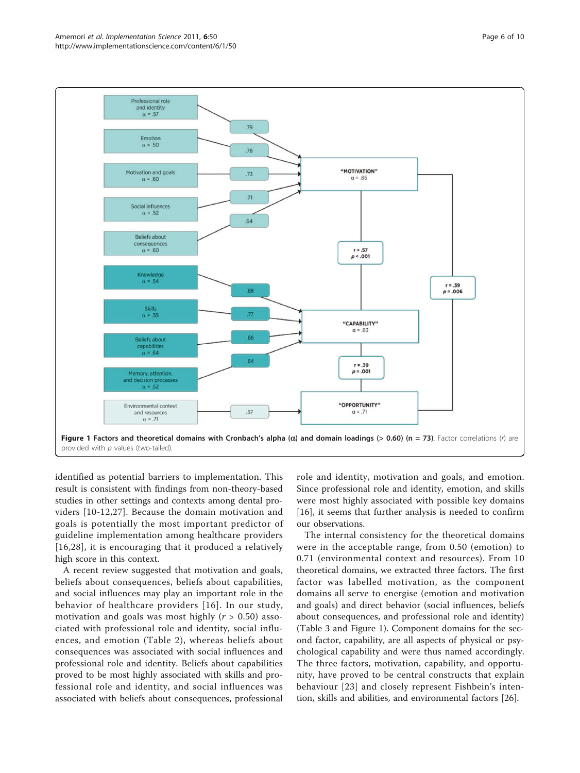<span id="page-5-0"></span>

identified as potential barriers to implementation. This result is consistent with findings from non-theory-based studies in other settings and contexts among dental providers [[10](#page-8-0)-[12](#page-8-0),[27\]](#page-8-0). Because the domain motivation and goals is potentially the most important predictor of guideline implementation among healthcare providers [[16](#page-8-0),[28](#page-9-0)], it is encouraging that it produced a relatively high score in this context.

A recent review suggested that motivation and goals, beliefs about consequences, beliefs about capabilities, and social influences may play an important role in the behavior of healthcare providers [[16\]](#page-8-0). In our study, motivation and goals was most highly  $(r > 0.50)$  associated with professional role and identity, social influences, and emotion (Table [2\)](#page-7-0), whereas beliefs about consequences was associated with social influences and professional role and identity. Beliefs about capabilities proved to be most highly associated with skills and professional role and identity, and social influences was associated with beliefs about consequences, professional

role and identity, motivation and goals, and emotion. Since professional role and identity, emotion, and skills were most highly associated with possible key domains [[16\]](#page-8-0), it seems that further analysis is needed to confirm our observations.

The internal consistency for the theoretical domains were in the acceptable range, from 0.50 (emotion) to 0.71 (environmental context and resources). From 10 theoretical domains, we extracted three factors. The first factor was labelled motivation, as the component domains all serve to energise (emotion and motivation and goals) and direct behavior (social influences, beliefs about consequences, and professional role and identity) (Table [3](#page-7-0) and Figure 1). Component domains for the second factor, capability, are all aspects of physical or psychological capability and were thus named accordingly. The three factors, motivation, capability, and opportunity, have proved to be central constructs that explain behaviour [[23](#page-8-0)] and closely represent Fishbein's intention, skills and abilities, and environmental factors [\[26\]](#page-8-0).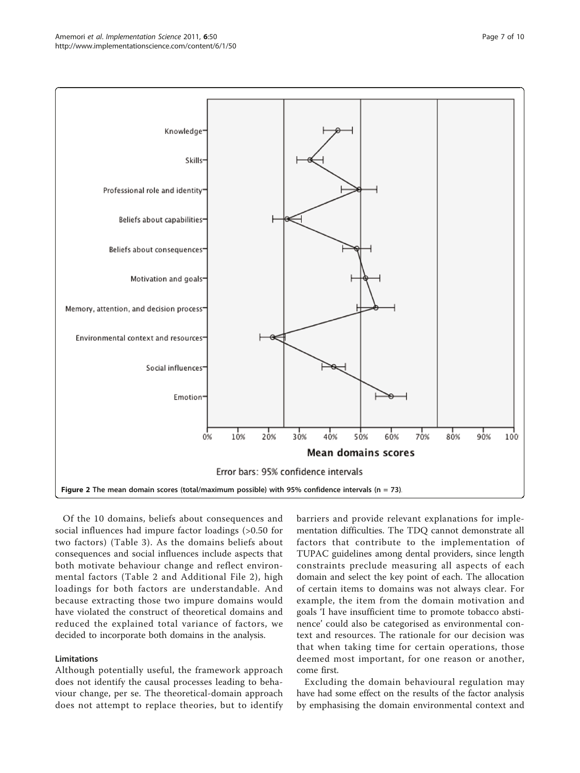<span id="page-6-0"></span>

Of the 10 domains, beliefs about consequences and social influences had impure factor loadings (>0.50 for two factors) (Table [3\)](#page-7-0). As the domains beliefs about consequences and social influences include aspects that both motivate behaviour change and reflect environmental factors (Table [2](#page-7-0) and Additional File [2\)](#page-8-0), high loadings for both factors are understandable. And because extracting those two impure domains would have violated the construct of theoretical domains and reduced the explained total variance of factors, we decided to incorporate both domains in the analysis.

## Limitations

Although potentially useful, the framework approach does not identify the causal processes leading to behaviour change, per se. The theoretical-domain approach does not attempt to replace theories, but to identify barriers and provide relevant explanations for implementation difficulties. The TDQ cannot demonstrate all factors that contribute to the implementation of TUPAC guidelines among dental providers, since length constraints preclude measuring all aspects of each domain and select the key point of each. The allocation of certain items to domains was not always clear. For example, the item from the domain motivation and goals 'I have insufficient time to promote tobacco abstinence' could also be categorised as environmental context and resources. The rationale for our decision was that when taking time for certain operations, those deemed most important, for one reason or another, come first.

Excluding the domain behavioural regulation may have had some effect on the results of the factor analysis by emphasising the domain environmental context and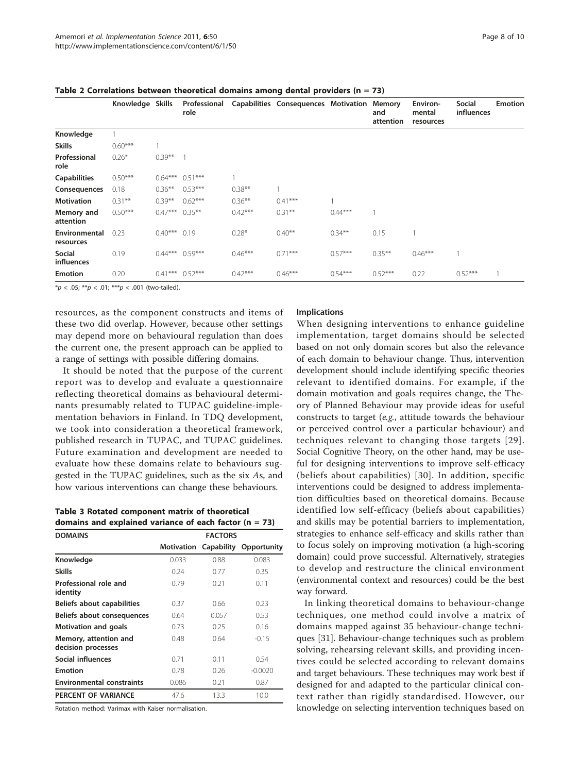|                            | Knowledge Skills |                | Professional<br>role |           | Capabilities Consequences Motivation |           | Memory<br>and<br>attention | Environ-<br>mental<br>resources | Social<br>influences | <b>Emotion</b> |
|----------------------------|------------------|----------------|----------------------|-----------|--------------------------------------|-----------|----------------------------|---------------------------------|----------------------|----------------|
| Knowledge                  |                  |                |                      |           |                                      |           |                            |                                 |                      |                |
| <b>Skills</b>              | $0.60***$        |                |                      |           |                                      |           |                            |                                 |                      |                |
| Professional<br>role       | $0.26*$          | $0.39***$      |                      |           |                                      |           |                            |                                 |                      |                |
| <b>Capabilities</b>        | $0.50***$        | $0.64***$      | $0.51***$            | 1         |                                      |           |                            |                                 |                      |                |
| Consequences               | 0.18             | $0.36***$      | $0.53***$            | $0.38***$ |                                      |           |                            |                                 |                      |                |
| <b>Motivation</b>          | $0.31***$        | $0.39***$      | $0.62***$            | $0.36***$ | $0.41***$                            |           |                            |                                 |                      |                |
| Memory and<br>attention    | $0.50***$        | $0.47***$      | $0.35***$            | $0.42***$ | $0.31***$                            | $0.44***$ |                            |                                 |                      |                |
| Environmental<br>resources | 0.23             | $0.40***$ 0.19 |                      | $0.28*$   | $0.40**$                             | $0.34***$ | 0.15                       |                                 |                      |                |
| Social<br>influences       | 0.19             |                | $0.44***$ 0.59***    | $0.46***$ | $0.71***$                            | $0.57***$ | $0.35***$                  | $0.46***$                       |                      |                |
| Emotion                    | 0.20             |                | $0.41***$ 0.52***    | $0.42***$ | $0.46***$                            | $0.54***$ | $0.52***$                  | 0.22                            | $0.52***$            |                |
|                            |                  |                |                      |           |                                      |           |                            |                                 |                      |                |

<span id="page-7-0"></span>Table 2 Correlations between theoretical domains among dental providers ( $n = 73$ )

\*p < .05; \*\*p < .01; \*\*\*p < .001 (two-tailed).

resources, as the component constructs and items of these two did overlap. However, because other settings may depend more on behavioural regulation than does the current one, the present approach can be applied to a range of settings with possible differing domains.

It should be noted that the purpose of the current report was to develop and evaluate a questionnaire reflecting theoretical domains as behavioural determinants presumably related to TUPAC guideline-implementation behaviors in Finland. In TDQ development, we took into consideration a theoretical framework, published research in TUPAC, and TUPAC guidelines. Future examination and development are needed to evaluate how these domains relate to behaviours suggested in the TUPAC guidelines, such as the six As, and how various interventions can change these behaviours.

Table 3 Rotated component matrix of theoretical domains and explained variance of each factor  $(n = 73)$ 

| <b>DOMAINS</b>                              | <b>FACTORS</b> |            |             |  |  |  |
|---------------------------------------------|----------------|------------|-------------|--|--|--|
|                                             | Motivation     | Capability | Opportunity |  |  |  |
| Knowledge                                   | 0.033          | 0.88       | 0.083       |  |  |  |
| <b>Skills</b>                               | 0.24           | 0.77       | 0.35        |  |  |  |
| Professional role and<br>identity           | 0.79           | 0.21       | 0.11        |  |  |  |
| Beliefs about capabilities                  | 0.37           | 0.66       | 0.23        |  |  |  |
| Beliefs about consequences                  | 0.64           | 0.057      | 0.53        |  |  |  |
| <b>Motivation and goals</b>                 | 0.73           | 0.25       | 0.16        |  |  |  |
| Memory, attention and<br>decision processes | 0.48           | 0.64       | $-0.15$     |  |  |  |
| Social influences                           | 0.71           | 0.11       | 0.54        |  |  |  |
| <b>Emotion</b>                              | 0.78           | 0.26       | $-0.0020$   |  |  |  |
| <b>Environmental constraints</b>            | 0.086          | 0.21       | 0.87        |  |  |  |
| PERCENT OF VARIANCE                         | 47.6           | 13.3       | 10.0        |  |  |  |

Rotation method: Varimax with Kaiser normalisation.

#### Implications

When designing interventions to enhance guideline implementation, target domains should be selected based on not only domain scores but also the relevance of each domain to behaviour change. Thus, intervention development should include identifying specific theories relevant to identified domains. For example, if the domain motivation and goals requires change, the Theory of Planned Behaviour may provide ideas for useful constructs to target (e.g., attitude towards the behaviour or perceived control over a particular behaviour) and techniques relevant to changing those targets [[29\]](#page-9-0). Social Cognitive Theory, on the other hand, may be useful for designing interventions to improve self-efficacy (beliefs about capabilities) [\[30\]](#page-9-0). In addition, specific interventions could be designed to address implementation difficulties based on theoretical domains. Because identified low self-efficacy (beliefs about capabilities) and skills may be potential barriers to implementation, strategies to enhance self-efficacy and skills rather than to focus solely on improving motivation (a high-scoring domain) could prove successful. Alternatively, strategies to develop and restructure the clinical environment (environmental context and resources) could be the best way forward.

In linking theoretical domains to behaviour-change techniques, one method could involve a matrix of domains mapped against 35 behaviour-change techniques [[31](#page-9-0)]. Behaviour-change techniques such as problem solving, rehearsing relevant skills, and providing incentives could be selected according to relevant domains and target behaviours. These techniques may work best if designed for and adapted to the particular clinical context rather than rigidly standardised. However, our knowledge on selecting intervention techniques based on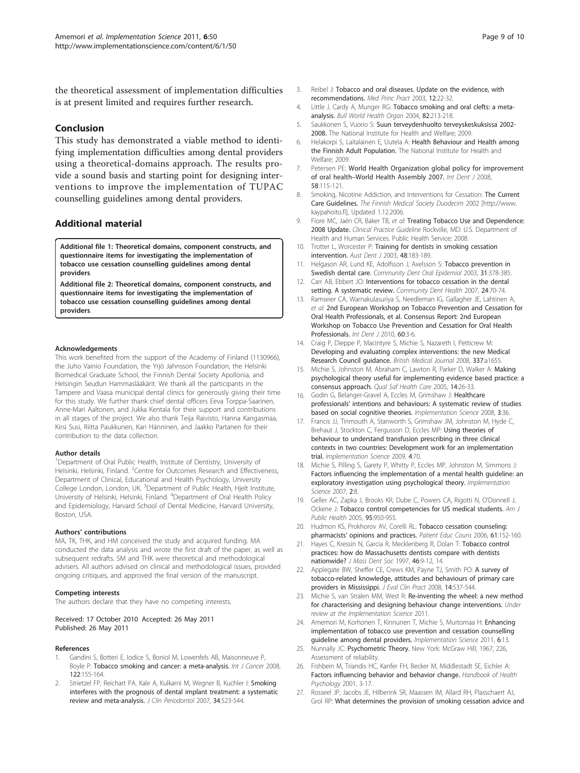<span id="page-8-0"></span>the theoretical assessment of implementation difficulties is at present limited and requires further research.

## Conclusion

This study has demonstrated a viable method to identifying implementation difficulties among dental providers using a theoretical-domains approach. The results provide a sound basis and starting point for designing interventions to improve the implementation of TUPAC counselling guidelines among dental providers.

## Additional material

[Additional file 1: T](http://www.biomedcentral.com/content/supplementary/1748-5908-6-50-S1.DOC)heoretical domains, component constructs, and questionnaire items for investigating the implementation of tobacco use cessation counselling guidelines among dental providers.

[Additional file 2: T](http://www.biomedcentral.com/content/supplementary/1748-5908-6-50-S2.DOC)heoretical domains, component constructs, and questionnaire items for investigating the implementation of tobacco use cessation counselling guidelines among dental providers.

#### Acknowledgements

This work benefited from the support of the Academy of Finland (1130966), the Juho Vainio Foundation, the Yrjö Jahnsson Foundation, the Helsinki Biomedical Graduate School, the Finnish Dental Society Apollonia, and Helsingin Seudun Hammaslääkärit. We thank all the participants in the Tampere and Vaasa municipal dental clinics for generously giving their time for this study. We further thank chief dental officers Eeva Torppa-Saarinen, Anne-Mari Aaltonen, and Jukka Kentala for their support and contributions in all stages of the project. We also thank Teija Raivisto, Hanna Kangasmaa, Kirsi Susi, Riitta Paukkunen, Kari Hänninen, and Jaakko Partanen for their contribution to the data collection.

#### Author details

<sup>1</sup>Department of Oral Public Health, Institute of Dentistry, University of Helsinki, Helsinki, Finland. <sup>2</sup>Centre for Outcomes Research and Effectiveness, Department of Clinical, Educational and Health Psychology, University College London, London, UK. <sup>3</sup>Department of Public Health, Hjelt Institute, University of Helsinki, Helsinki, Finland. <sup>4</sup>Department of Oral Health Policy and Epidemiology, Harvard School of Dental Medicine, Harvard University, Boston, USA.

#### Authors' contributions

MA, TK, THK, and HM conceived the study and acquired funding. MA conducted the data analysis and wrote the first draft of the paper, as well as subsequent redrafts. SM and THK were theoretical and methodological advisers. All authors advised on clinical and methodological issues, provided ongoing critiques, and approved the final version of the manuscript.

#### Competing interests

The authors declare that they have no competing interests.

#### Received: 17 October 2010 Accepted: 26 May 2011 Published: 26 May 2011

#### References

- 1. Gandini S, Botteri E, Iodice S, Boniol M, Lowenfels AB, Maisonneuve P, Boyle P: [Tobacco smoking and cancer: a meta-analysis.](http://www.ncbi.nlm.nih.gov/pubmed/17893872?dopt=Abstract) Int J Cancer 2008, 122:155-164.
- Strietzel FP, Reichart PA, Kale A, Kulkarni M, Wegner B, Kuchler I: [Smoking](http://www.ncbi.nlm.nih.gov/pubmed/17509093?dopt=Abstract) [interferes with the prognosis of dental implant treatment: a systematic](http://www.ncbi.nlm.nih.gov/pubmed/17509093?dopt=Abstract) [review and meta-analysis.](http://www.ncbi.nlm.nih.gov/pubmed/17509093?dopt=Abstract) J Clin Periodontol 2007, 34:523-544.
- 3. Reibel J: [Tobacco and oral diseases. Update on the evidence, with](http://www.ncbi.nlm.nih.gov/pubmed/12707498?dopt=Abstract) [recommendations.](http://www.ncbi.nlm.nih.gov/pubmed/12707498?dopt=Abstract) Med Princ Pract 2003, 12:22-32.
- 4. Little J, Cardy A, Munger RG: [Tobacco smoking and oral clefts: a meta](http://www.ncbi.nlm.nih.gov/pubmed/15112010?dopt=Abstract)[analysis.](http://www.ncbi.nlm.nih.gov/pubmed/15112010?dopt=Abstract) Bull World Health Organ 2004, 82:213-218.
- 5. Saukkonen S, Vuorio S: Suun terveydenhuolto terveyskeskuksissa 2002- 2008. The National Institute for Health and Welfare; 2009.
- 6. Helakorpi S, Laitalainen E, Uutela A: Health Behaviour and Health among the Finnish Adult Population. The National Institute for Health and Welfare: 2009
- 7. Petersen PE: [World Health Organization global policy for improvement](http://www.ncbi.nlm.nih.gov/pubmed/18630105?dopt=Abstract) of oral health–[World Health Assembly 2007.](http://www.ncbi.nlm.nih.gov/pubmed/18630105?dopt=Abstract) Int Dent J 2008, 58:115-121.
- 8. Smoking, Nicotine Addiction, and Interventions for Cessation: The Current Care Guidelines. The Finnish Medical Society Duodecim 2002 [\[http://www.](http://www.kaypahoito.fi) [kaypahoito.fi](http://www.kaypahoito.fi)], Updated 1.12.2006.
- 9. Fiore MC, Jaén CR, Baker TB, et al: Treating Tobacco Use and Dependence: 2008 Update. Clinical Practice Guideline Rockville, MD: U.S. Department of Health and Human Services. Public Health Service; 2008.
- 10. Trotter L, Worcester P: [Training for dentists in smoking cessation](http://www.ncbi.nlm.nih.gov/pubmed/14640372?dopt=Abstract) [intervention.](http://www.ncbi.nlm.nih.gov/pubmed/14640372?dopt=Abstract) Aust Dent J 2003, 48:183-189.
- 11. Helgason AR, Lund KE, Adolfsson J, Axelsson S: [Tobacco prevention in](http://www.ncbi.nlm.nih.gov/pubmed/14667009?dopt=Abstract) [Swedish dental care.](http://www.ncbi.nlm.nih.gov/pubmed/14667009?dopt=Abstract) Community Dent Oral Epidemiol 2003, 31:378-385.
- 12. Carr AB, Ebbert JO: [Interventions for tobacco cessation in the dental](http://www.ncbi.nlm.nih.gov/pubmed/17615820?dopt=Abstract) [setting. A systematic review.](http://www.ncbi.nlm.nih.gov/pubmed/17615820?dopt=Abstract) Community Dent Health 2007, 24:70-74.
- 13. Ramseier CA, Warnakulasuriya S, Needleman IG, Gallagher JE, Lahtinen A, et al: [2nd European Workshop on Tobacco Prevention and Cessation for](http://www.ncbi.nlm.nih.gov/pubmed/20361571?dopt=Abstract) [Oral Health Professionals, et al. Consensus Report: 2nd European](http://www.ncbi.nlm.nih.gov/pubmed/20361571?dopt=Abstract) [Workshop on Tobacco Use Prevention and Cessation for Oral Health](http://www.ncbi.nlm.nih.gov/pubmed/20361571?dopt=Abstract) [Professionals.](http://www.ncbi.nlm.nih.gov/pubmed/20361571?dopt=Abstract) Int Dent J 2010, 60:3-6.
- 14. Craig P, Dieppe P, Macintyre S, Michie S, Nazareth I, Petticrew M: [Developing and evaluating complex interventions: the new Medical](http://www.ncbi.nlm.nih.gov/pubmed/18824488?dopt=Abstract) [Research Council guidance.](http://www.ncbi.nlm.nih.gov/pubmed/18824488?dopt=Abstract) British Medical Journal 2008, 337:a1655.
- 15. Michie S, Johnston M, Abraham C, Lawton R, Parker D, Walker A: [Making](http://www.ncbi.nlm.nih.gov/pubmed/15692000?dopt=Abstract) [psychological theory useful for implementing evidence based practice: a](http://www.ncbi.nlm.nih.gov/pubmed/15692000?dopt=Abstract) [consensus approach.](http://www.ncbi.nlm.nih.gov/pubmed/15692000?dopt=Abstract) Qual Saf Health Care 2005, 14:26-33.
- 16. Godin G, Belanger-Gravel A, Eccles M, Grimshaw J: [Healthcare](http://www.ncbi.nlm.nih.gov/pubmed/18631386?dopt=Abstract) professionals' [intentions and behaviours: A systematic review of studies](http://www.ncbi.nlm.nih.gov/pubmed/18631386?dopt=Abstract) [based on social cognitive theories.](http://www.ncbi.nlm.nih.gov/pubmed/18631386?dopt=Abstract) Implementation Science 2008, 3:36.
- 17. Francis JJ, Tinmouth A, Stanworth S, Grimshaw JM, Johnston M, Hyde C, Brehaut J, Stockton C, Fergusson D, Eccles MP: [Using theories of](http://www.ncbi.nlm.nih.gov/pubmed/19852832?dopt=Abstract) [behaviour to understand transfusion prescribing in three clinical](http://www.ncbi.nlm.nih.gov/pubmed/19852832?dopt=Abstract) [contexts in two countries: Development work for an implementation](http://www.ncbi.nlm.nih.gov/pubmed/19852832?dopt=Abstract) [trial.](http://www.ncbi.nlm.nih.gov/pubmed/19852832?dopt=Abstract) Implementation Science 2009, 4:70.
- 18. Michie S, Pilling S, Garety P, Whitty P, Eccles MP, Johnston M, Simmons J: [Factors influencing the implementation of a mental health guideline: an](http://www.ncbi.nlm.nih.gov/pubmed/17386102?dopt=Abstract) [exploratory investigation using psychological theory.](http://www.ncbi.nlm.nih.gov/pubmed/17386102?dopt=Abstract) Implementation Science 2007, 2:8.
- 19. Geller AC, Zapka J, Brooks KR, Dube C, Powers CA, Rigotti N, O'Donnell J, Ockene J: [Tobacco control competencies for US medical students.](http://www.ncbi.nlm.nih.gov/pubmed/15914815?dopt=Abstract) Am J Public Health 2005, 95:950-955.
- 20. Hudmon KS, Prokhorov AV, Corelli RL: [Tobacco cessation counseling:](http://www.ncbi.nlm.nih.gov/pubmed/16533683?dopt=Abstract) pharmacists' [opinions and practices.](http://www.ncbi.nlm.nih.gov/pubmed/16533683?dopt=Abstract) Patient Educ Couns 2006, 61:152-160.
- 21. Hayes C, Kressin N, Garcia R, Mecklenberg R, Dolan T: [Tobacco control](http://www.ncbi.nlm.nih.gov/pubmed/9540724?dopt=Abstract) [practices: how do Massachusetts dentists compare with dentists](http://www.ncbi.nlm.nih.gov/pubmed/9540724?dopt=Abstract) [nationwide?](http://www.ncbi.nlm.nih.gov/pubmed/9540724?dopt=Abstract) J Mass Dent Soc 1997, 46:9-12, 14.
- 22. Applegate BW, Sheffer CE, Crews KM, Payne TJ, Smith PO: [A survey of](http://www.ncbi.nlm.nih.gov/pubmed/18462288?dopt=Abstract) [tobacco-related knowledge, attitudes and behaviours of primary care](http://www.ncbi.nlm.nih.gov/pubmed/18462288?dopt=Abstract) [providers in Mississippi.](http://www.ncbi.nlm.nih.gov/pubmed/18462288?dopt=Abstract) J Eval Clin Pract 2008, 14:537-544.
- 23. Michie S, van Stralen MM, West R: Re-inventing the wheel: a new method for characterising and designing behaviour change interventions. Under review at the Implementation Science 2011.
- 24. Amemori M, Korhonen T, Kinnunen T, Michie S, Murtomaa H: [Enhancing](http://www.ncbi.nlm.nih.gov/pubmed/21320312?dopt=Abstract) [implementation of tobacco use prevention and cessation counselling](http://www.ncbi.nlm.nih.gov/pubmed/21320312?dopt=Abstract) [guideline among dental providers.](http://www.ncbi.nlm.nih.gov/pubmed/21320312?dopt=Abstract) Implementation Science 2011, 6:13.
- 25. Nunnally JC: Psychometric Theory. New York: McGraw Hill; 1967, 226, Assessment of reliability.
- 26. Fishbein M, Triandis HC, Kanfer FH, Becker M, Middlestadt SE, Eichler A: Factors influencing behavior and behavior change. Handbook of Health Psychology 2001, 3-17.
- 27. Rosseel JP, Jacobs JE, Hilberink SR, Maassen IM, Allard RH, Plasschaert AJ, Grol RP: [What determines the provision of smoking cessation advice and](http://www.ncbi.nlm.nih.gov/pubmed/19343033?dopt=Abstract)